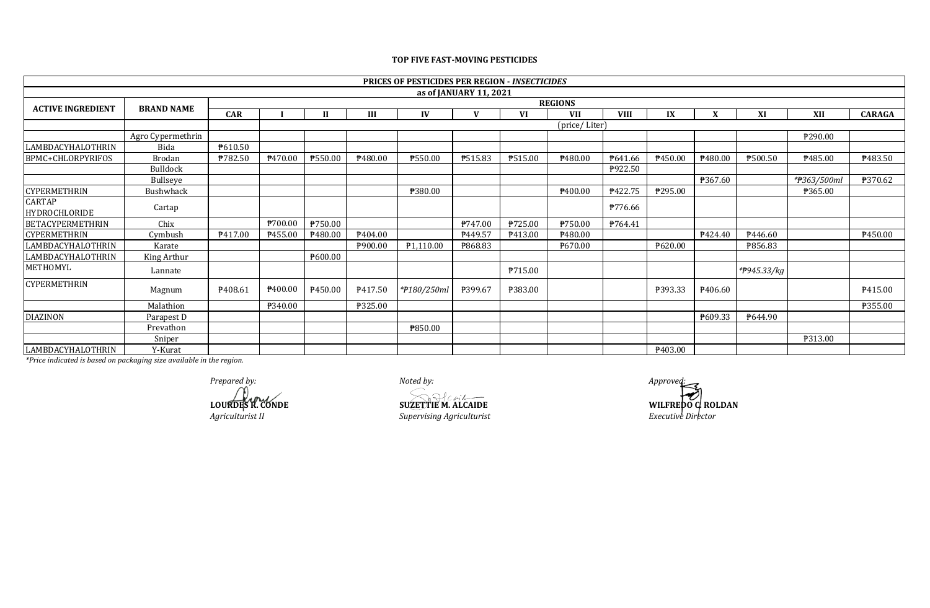|                                |                        |                |                     |              |                     | <b>PRICES OF PESTICIDES PER REGION - INSECTICIDES</b> |         |           |               |                |         |                     |                          |             |               |
|--------------------------------|------------------------|----------------|---------------------|--------------|---------------------|-------------------------------------------------------|---------|-----------|---------------|----------------|---------|---------------------|--------------------------|-------------|---------------|
|                                | as of JANUARY 11, 2021 |                |                     |              |                     |                                                       |         |           |               |                |         |                     |                          |             |               |
| <b>ACTIVE INGREDIENT</b>       | <b>BRAND NAME</b>      | <b>REGIONS</b> |                     |              |                     |                                                       |         |           |               |                |         |                     |                          |             |               |
|                                |                        | <b>CAR</b>     |                     | $\mathbf{I}$ |                     | IV                                                    |         | <b>VI</b> | <b>VII</b>    | <b>VIII</b>    | IX      |                     | XI                       | <b>XII</b>  | <b>CARAGA</b> |
|                                |                        |                |                     |              |                     |                                                       |         |           | (price/Liter) |                |         |                     |                          |             |               |
|                                | Agro Cypermethrin      |                |                     |              |                     |                                                       |         |           |               |                |         |                     |                          | ₱290.00     |               |
| LAMBDACYHALOTHRIN              | Bida                   | P610.50        |                     |              |                     |                                                       |         |           |               |                |         |                     |                          |             |               |
| <b>BPMC+CHLORPYRIFOS</b>       | <b>Brodan</b>          | P782.50        | P470.00             | P550.00      | P480.00             | P550.00                                               | P515.83 | ₱515.00   | P480.00       | P641.66        | P450.00 | ₱480.00             | ₱500.50                  | ₱485.00     | P483.50       |
|                                | <b>Bulldock</b>        |                |                     |              |                     |                                                       |         |           |               | P922.50        |         |                     |                          |             |               |
|                                | Bullseye               |                |                     |              |                     |                                                       |         |           |               |                |         | ₱367.60             |                          | *#363/500ml | ₱370.62       |
| <b>CYPERMETHRIN</b>            | Bushwhack              |                |                     |              |                     | ₱380.00                                               |         |           | P400.00       | <b>P422.75</b> | ₱295.00 |                     |                          | ₱365.00     |               |
| <b>CARTAP</b><br>HYDROCHLORIDE | Cartap                 |                |                     |              |                     |                                                       |         |           |               | ₱776.66        |         |                     |                          |             |               |
| <b>BETACYPERMETHRIN</b>        | Chix                   |                | ₱700.00             | ₱750.00      |                     |                                                       | P747.00 | P725.00   | ₱750.00       | P764.41        |         |                     |                          |             |               |
| <b>CYPERMETHRIN</b>            | Cymbush                | P417.00        | P455.00             | P480.00      | P404.00             |                                                       | P449.57 | P413.00   | ₱480.00       |                |         | P424.40             | P446.60                  |             | ₱450.00       |
| LAMBDACYHALOTHRIN              | Karate                 |                |                     |              | <b>\900.00</b>      | P <sub>1</sub> ,110.00                                | ₱868.83 |           | P670.00       |                | ₱620.00 |                     | ₱856.83                  |             |               |
| LAMBDACYHALOTHRIN              | King Arthur            |                |                     | ₱600.00      |                     |                                                       |         |           |               |                |         |                     |                          |             |               |
| METHOMYL                       | Lannate                |                |                     |              |                     |                                                       |         | P715.00   |               |                |         |                     | * <del>P</del> 945.33/kg |             |               |
| <b>CYPERMETHRIN</b>            | Magnum                 | P408.61        | P <sub>400.00</sub> | ₱450.00      | P <sub>417.50</sub> | *#180/250ml                                           | P399.67 | ₱383.00   |               |                | P393.33 | P <sub>406.60</sub> |                          |             | P415.00       |
|                                | Malathion              |                | ₱340.00             |              | ₱325.00             |                                                       |         |           |               |                |         |                     |                          |             | ₱355.00       |
| <b>DIAZINON</b>                | Parapest D             |                |                     |              |                     |                                                       |         |           |               |                |         | P609.33             | P644.90                  |             |               |
|                                | Prevathon              |                |                     |              |                     | P850.00                                               |         |           |               |                |         |                     |                          |             |               |
|                                | Sniper                 |                |                     |              |                     |                                                       |         |           |               |                |         |                     |                          | ₱313.00     |               |
| LAMBDACYHALOTHRIN              | Y-Kurat                |                |                     |              |                     |                                                       |         |           |               |                | P403.00 |                     |                          |             |               |

## **TOP FIVE FAST-MOVING PESTICIDES**

*\*Price indicated is based on packaging size available in the region.*

*Prepared by: Noted by: Approved: Approved: Approved: Approved: Approved:* **Approved: Approved: Approved: Approved: Approved: Approved: Approved: Approved: Approved: Approved: Approved: Ap** 

*Agriculturist II Supervising Agriculturist Executive Director*

**LOURDES R. CONDE SUZETTIE M. ALCAIDE WILFREDO C. ROLDAN**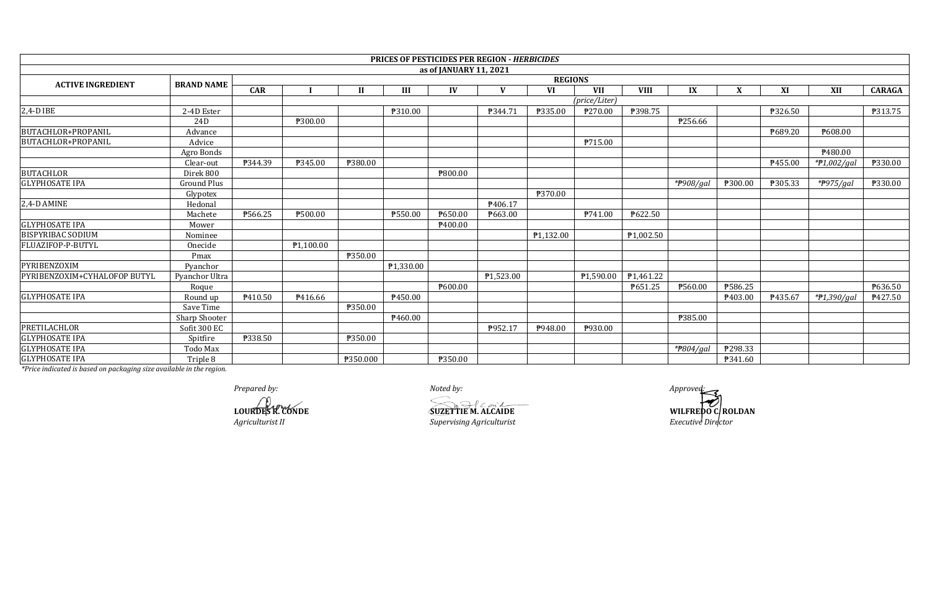|                              |                   |                |           |          |                       |                        | <b>PRICES OF PESTICIDES PER REGION - HERBICIDES</b> |                |               |             |              |         |                |             |                |
|------------------------------|-------------------|----------------|-----------|----------|-----------------------|------------------------|-----------------------------------------------------|----------------|---------------|-------------|--------------|---------|----------------|-------------|----------------|
|                              |                   |                |           |          |                       | as of JANUARY 11, 2021 |                                                     |                |               |             |              |         |                |             |                |
| <b>ACTIVE INGREDIENT</b>     | <b>BRAND NAME</b> | <b>REGIONS</b> |           |          |                       |                        |                                                     |                |               |             |              |         |                |             |                |
|                              |                   | <b>CAR</b>     |           |          | Ш                     | IV                     |                                                     | <b>VI</b>      | <b>VII</b>    | <b>VIII</b> | IX           | v       | XI             | XII         | <b>CARAGA</b>  |
|                              |                   |                |           |          |                       |                        |                                                     |                | (price/Liter) |             |              |         |                |             |                |
| $2,4$ -DIBE                  | 2-4D Ester        |                |           |          | P310.00               |                        | P344.71                                             | <b>P335.00</b> | ₱270.00       | ₱398.75     |              |         | <b>P326.50</b> |             | <b>P313.75</b> |
|                              | 24D               |                | ₱300.00   |          |                       |                        |                                                     |                |               |             | P256.66      |         |                |             |                |
| BUTACHLOR+PROPANIL           | Advance           |                |           |          |                       |                        |                                                     |                |               |             |              |         | P689.20        | ₹608.00     |                |
| BUTACHLOR+PROPANIL           | Advice            |                |           |          |                       |                        |                                                     |                | P715.00       |             |              |         |                |             |                |
|                              | Agro Bonds        |                |           |          |                       |                        |                                                     |                |               |             |              |         |                | P480.00     |                |
|                              | Clear-out         | P344.39        | ₱345.00   | ₱380.00  |                       |                        |                                                     |                |               |             |              |         | P455.00        | *P1,002/gal | ₱330.00        |
| <b>BUTACHLOR</b>             | Direk 800         |                |           |          |                       | ₱800.00                |                                                     |                |               |             |              |         |                |             |                |
| <b>GLYPHOSATE IPA</b>        | Ground Plus       |                |           |          |                       |                        |                                                     |                |               |             | *#908/gal    | ₱300.00 | ₱305.33        | *P975/gal   | P330.00        |
|                              | Glypotex          |                |           |          |                       |                        |                                                     | ₱370.00        |               |             |              |         |                |             |                |
| 2,4-D AMINE                  | Hedonal           |                |           |          |                       |                        | P406.17                                             |                |               |             |              |         |                |             |                |
|                              | Machete           | ₱566.25        | ₱500.00   |          | ₱550.00               | P650.00                | ₱663.00                                             |                | P741.00       | P622.50     |              |         |                |             |                |
| <b>GLYPHOSATE IPA</b>        | Mower             |                |           |          |                       | ₱400.00                |                                                     |                |               |             |              |         |                |             |                |
| <b>BISPYRIBAC SODIUM</b>     | Nominee           |                |           |          |                       |                        |                                                     | P1,132.00      |               | ₱1,002.50   |              |         |                |             |                |
| FLUAZIFOP-P-BUTYL            | Onecide           |                | P1.100.00 |          |                       |                        |                                                     |                |               |             |              |         |                |             |                |
|                              | Pmax              |                |           | ₱350.00  |                       |                        |                                                     |                |               |             |              |         |                |             |                |
| PYRIBENZOXIM                 | Pvanchor          |                |           |          | P <sub>1,330.00</sub> |                        |                                                     |                |               |             |              |         |                |             |                |
| PYRIBENZOXIM+CYHALOFOP BUTYL | Pyanchor Ultra    |                |           |          |                       |                        | ₱1,523.00                                           |                | ₱1,590.00     | P1,461.22   |              |         |                |             |                |
|                              | Roque             |                |           |          |                       | P600.00                |                                                     |                |               | P651.25     | ₱560.00      | ₱586.25 |                |             | P636.50        |
| <b>GLYPHOSATE IPA</b>        | Round up          | P410.50        | P416.66   |          | P450.00               |                        |                                                     |                |               |             |              | ₱403.00 | ₱435.67        | *#1,390/gal | P427.50        |
|                              | Save Time         |                |           | ₱350.00  |                       |                        |                                                     |                |               |             |              |         |                |             |                |
|                              | Sharp Shooter     |                |           |          | P460.00               |                        |                                                     |                |               |             | P385.00      |         |                |             |                |
| PRETILACHLOR                 | Sofit 300 EC      |                |           |          |                       |                        | P952.17                                             | P948.00        | P930.00       |             |              |         |                |             |                |
| <b>GLYPHOSATE IPA</b>        | Spitfire          | ₱338.50        |           | ₱350.00  |                       |                        |                                                     |                |               |             |              |         |                |             |                |
| <b>GLYPHOSATE IPA</b>        | Todo Max          |                |           |          |                       |                        |                                                     |                |               |             | * $P804/gal$ | P298.33 |                |             |                |
| <b>GLYPHOSATE IPA</b>        | Triple 8          |                |           | ₱350.000 |                       | ₱350.00                |                                                     |                |               |             |              | ₱341.60 |                |             |                |

*Prepared by: Noted by: Approved:*

 $Superving$  *Agriculturist* 

**LOURDES R. CONDE**<br> **LOURDES R. CONDE**<br> *SUZETTIE M. ALCAIDE* **SUZETTIE M. ALCAIDE WILFREDO C. ROLDAN**<br> *Supervising Agriculturist Executive Director*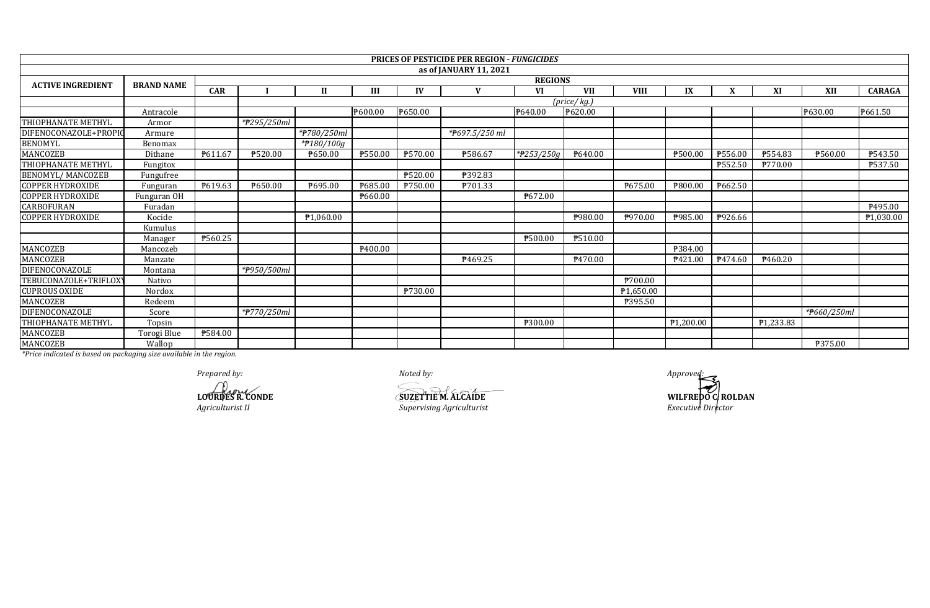|                          |                   |                |             |              |         |                | <b>PRICES OF PESTICIDE PER REGION - FUNGICIDES</b> |            |                            |                       |           |         |           |             |                |
|--------------------------|-------------------|----------------|-------------|--------------|---------|----------------|----------------------------------------------------|------------|----------------------------|-----------------------|-----------|---------|-----------|-------------|----------------|
|                          |                   |                |             |              |         |                | as of JANUARY 11, 2021                             |            |                            |                       |           |         |           |             |                |
| <b>ACTIVE INGREDIENT</b> |                   | <b>REGIONS</b> |             |              |         |                |                                                    |            |                            |                       |           |         |           |             |                |
|                          | <b>BRAND NAME</b> | CAR            |             | $\mathbf{H}$ | Ш       | IV             | $\mathbf{V}$                                       | VI         | <b>VII</b>                 | <b>VIII</b>           | IX        | X       | XI        | XII         | <b>CARAGA</b>  |
|                          |                   |                |             |              |         |                |                                                    |            | $(\text{price}/\text{kg})$ |                       |           |         |           |             |                |
|                          | Antracole         |                |             |              | P600.00 | ₹650.00        |                                                    | ₱640.00    | ₱620.00                    |                       |           |         |           | ₱630.00     | P661.50        |
| THIOPHANATE METHYL       | Armor             |                | *#295/250ml |              |         |                |                                                    |            |                            |                       |           |         |           |             |                |
| DIFENOCONAZOLE+PROPIO    | Armure            |                |             | *#780/250ml  |         |                | *P697.5/250 ml                                     |            |                            |                       |           |         |           |             |                |
| <b>BENOMYL</b>           | Benomax           |                |             | *#180/100g   |         |                |                                                    |            |                            |                       |           |         |           |             |                |
| MANCOZEB                 | Dithane           | P611.67        | ₱520.00     | ₱650.00      | P550.00 | ₱570.00        | ₱586.67                                            | *#253/250g | $\sqrt{2640.00}$           |                       | ₱500.00   | ₱556.00 | ₱554.83   | ₹560.00     | P543.50        |
| THIOPHANATE METHYL       | Fungitox          |                |             |              |         |                |                                                    |            |                            |                       |           | ₱552.50 | ₱770.00   |             | <b>P537.50</b> |
| <b>BENOMYL/MANCOZEB</b>  | Fungufree         |                |             |              |         | <b>P520.00</b> | ₱392.83                                            |            |                            |                       |           |         |           |             |                |
| <b>COPPER HYDROXIDE</b>  | Funguran          | P619.63        | P650.00     | ₱695.00      | ₹685.00 | P750.00        | ₱701.33                                            |            |                            | P675.00               | ₹800.00   | P662.50 |           |             |                |
| <b>COPPER HYDROXIDE</b>  | Funguran OH       |                |             |              | P660.00 |                |                                                    | ₱672.00    |                            |                       |           |         |           |             |                |
| <b>CARBOFURAN</b>        | Furadan           |                |             |              |         |                |                                                    |            |                            |                       |           |         |           |             | P495.00        |
| <b>COPPER HYDROXIDE</b>  | Kocide            |                |             | ₱1,060.00    |         |                |                                                    |            | P980.00                    | P970.00               | ₱985.00   | P926.66 |           |             | P1,030.00      |
|                          | Kumulus           |                |             |              |         |                |                                                    |            |                            |                       |           |         |           |             |                |
|                          | Manager           | ₱560.25        |             |              |         |                |                                                    | ₱500.00    | ₱510.00                    |                       |           |         |           |             |                |
| <b>MANCOZEB</b>          | Mancozeb          |                |             |              | ₹400.00 |                |                                                    |            |                            |                       | ₱384.00   |         |           |             |                |
| MANCOZEB                 | Manzate           |                |             |              |         |                | P469.25                                            |            | P <sub>470.00</sub>        |                       | P421.00   | P474.60 | ₹460.20   |             |                |
| <b>DIFENOCONAZOLE</b>    | Montana           |                | *#950/500ml |              |         |                |                                                    |            |                            |                       |           |         |           |             |                |
| TEBUCONAZOLE+TRIFLOXY    | Nativo            |                |             |              |         |                |                                                    |            |                            | 700.00                |           |         |           |             |                |
| <b>CUPROUS OXIDE</b>     | Nordox            |                |             |              |         | <b>P730.00</b> |                                                    |            |                            | P <sub>1.650.00</sub> |           |         |           |             |                |
| MANCOZEB                 | Redeem            |                |             |              |         |                |                                                    |            |                            | P395.50               |           |         |           |             |                |
| <b>DIFENOCONAZOLE</b>    | Score             |                | *#770/250ml |              |         |                |                                                    |            |                            |                       |           |         |           | *#660/250ml |                |
| THIOPHANATE METHYL       | Topsin            |                |             |              |         |                |                                                    | ₱300.00    |                            |                       | ₱1,200.00 |         | P1,233.83 |             |                |
| MANCOZEB                 | Torogi Blue       | <b>P584.00</b> |             |              |         |                |                                                    |            |                            |                       |           |         |           |             |                |
| MANCOZEB                 | Wallop            |                |             |              |         |                |                                                    |            |                            |                       |           |         |           | ₱375.00     |                |

*Prepared by: Noted by: Approved:*

*Agriculturist II Supervising Agriculturist* 

**LOURDES R. CONDE SUZETTIE M. ALCAIDE** 

**WILFREDO C** ROLDAN<br>Executive Director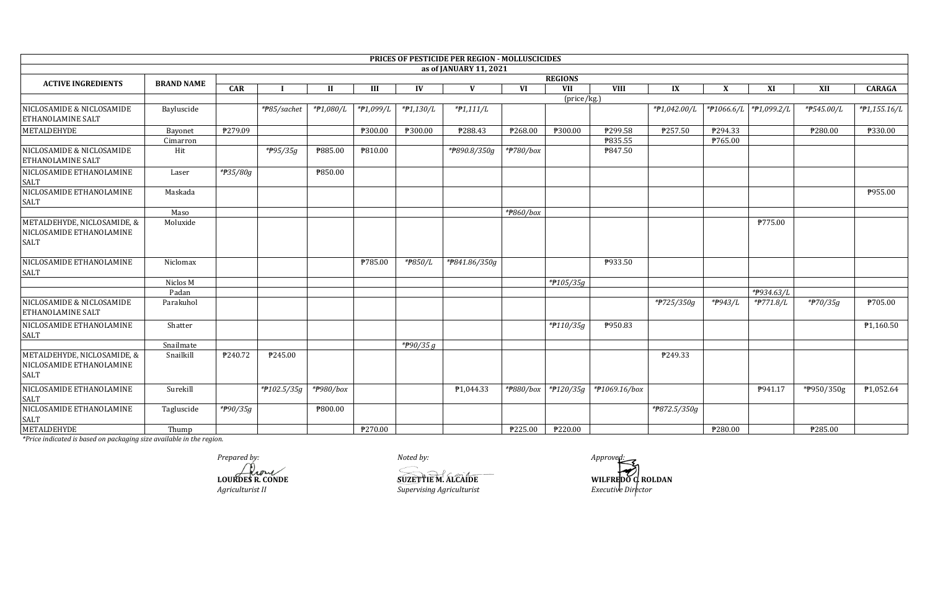|                                                                        |                   |                |                |           |           |             | PRICES OF PESTICIDE PER REGION - MOLLUSCICIDES |                |                      |               |              |         |                         |                     |                |
|------------------------------------------------------------------------|-------------------|----------------|----------------|-----------|-----------|-------------|------------------------------------------------|----------------|----------------------|---------------|--------------|---------|-------------------------|---------------------|----------------|
|                                                                        |                   |                |                |           |           |             | as of JANUARY 11, 2021                         |                |                      |               |              |         |                         |                     |                |
| <b>ACTIVE INGREDIENTS</b>                                              | <b>BRAND NAME</b> | <b>REGIONS</b> |                |           |           |             |                                                |                |                      |               |              |         |                         |                     |                |
|                                                                        |                   | CAR            |                | H         | Ш         | IV          | V                                              | VI             | VII                  | <b>VIII</b>   | IX           | X       | XI                      | XII                 | <b>CARAGA</b>  |
| NICLOSAMIDE & NICLOSAMIDE<br><b>ETHANOLAMINE SALT</b>                  | Bayluscide        |                | *#85/sachet    | *#1,080/L | *#1,099/L | *#1,130/L   | $*P1,111/L$                                    |                | (price/kg.)          |               | *P1,042.00/L |         | *#1066.6/L  *#1,099.2/L | *#545.00/L          | $*P1,155.16/L$ |
| <b>METALDEHYDE</b>                                                     | Bayonet           | P279.09        |                |           | ₱300.00   | ₱300.00     | P288.43                                        | ₱268.00        | P300.00              | ₱299.58       | P257.50      | P294.33 |                         | ₱280.00             | ₱330.00        |
|                                                                        | Cimarron          |                |                |           |           |             |                                                |                |                      | P835.55       |              | P765.00 |                         |                     |                |
| NICLOSAMIDE & NICLOSAMIDE<br><b>ETHANOLAMINE SALT</b>                  | Hit               |                | *P95/35g       | ₱885.00   | P810.00   |             | *#890.8/350g                                   | *#780/box      |                      | P847.50       |              |         |                         |                     |                |
| NICLOSAMIDE ETHANOLAMINE<br>SALT                                       | Laser             | *#35/80g       |                | P850.00   |           |             |                                                |                |                      |               |              |         |                         |                     |                |
| NICLOSAMIDE ETHANOLAMINE<br><b>SALT</b>                                | Maskada           |                |                |           |           |             |                                                |                |                      |               |              |         |                         |                     | P955.00        |
|                                                                        | Maso              |                |                |           |           |             |                                                | *P860/box      |                      |               |              |         |                         |                     |                |
| METALDEHYDE, NICLOSAMIDE, &<br>NICLOSAMIDE ETHANOLAMINE<br><b>SALT</b> | Moluxide          |                |                |           |           |             |                                                |                |                      |               |              |         | P775.00                 |                     |                |
| NICLOSAMIDE ETHANOLAMINE<br><b>SALT</b>                                | Niclomax          |                |                |           | ₱785.00   | *P850/L     | *P841.86/350g                                  |                |                      | P933.50       |              |         |                         |                     |                |
|                                                                        | Niclos M          |                |                |           |           |             |                                                |                | * $f105/35g$         |               |              |         |                         |                     |                |
|                                                                        | Padan             |                |                |           |           |             |                                                |                |                      |               |              |         | *P934.63/L              |                     |                |
| NICLOSAMIDE & NICLOSAMIDE<br><b>ETHANOLAMINE SALT</b>                  | Parakuhol         |                |                |           |           |             |                                                |                |                      |               | *#725/350g   | *#943/L | *#771.8/L               | $\frac{1}{4}70/35g$ | ₱705.00        |
| NICLOSAMIDE ETHANOLAMINE<br><b>SALT</b>                                | Shatter           |                |                |           |           |             |                                                |                | *#110/35g            | P950.83       |              |         |                         |                     | P1,160.50      |
|                                                                        | Snailmate         |                |                |           |           | * $P90/35g$ |                                                |                |                      |               |              |         |                         |                     |                |
| METALDEHYDE, NICLOSAMIDE, &<br>NICLOSAMIDE ETHANOLAMINE<br><b>SALT</b> | Snailkill         | ₱240.72        | P245.00        |           |           |             |                                                |                |                      |               | P249.33      |         |                         |                     |                |
| NICLOSAMIDE ETHANOLAMINE<br><b>SALT</b>                                | Surekill          |                | $*$ P102.5/35g | *#980/box |           |             | P <sub>1</sub> ,044.33                         | *#880/box      | $*$ <b>P</b> 120/35g | *#1069.16/box |              |         | P941.17                 | *P950/350g          | P1,052.64      |
| NICLOSAMIDE ETHANOLAMINE<br><b>SALT</b>                                | Tagluscide        | *#90/35g       |                | P800.00   |           |             |                                                |                |                      |               | *#872.5/350g |         |                         |                     |                |
| <b>METALDEHYDE</b>                                                     | Thump             |                |                |           | ₱270.00   |             |                                                | <b>P225.00</b> | ₱220.00              |               |              | ₱280.00 |                         | ₱285.00             |                |

Prepared by: LOURDES R. CONDE Agriculturist II

Noted by: SUZETTIEM. ALCAIDE Supervising Agriculturist

Approved: WILFREDO C ROLDAN